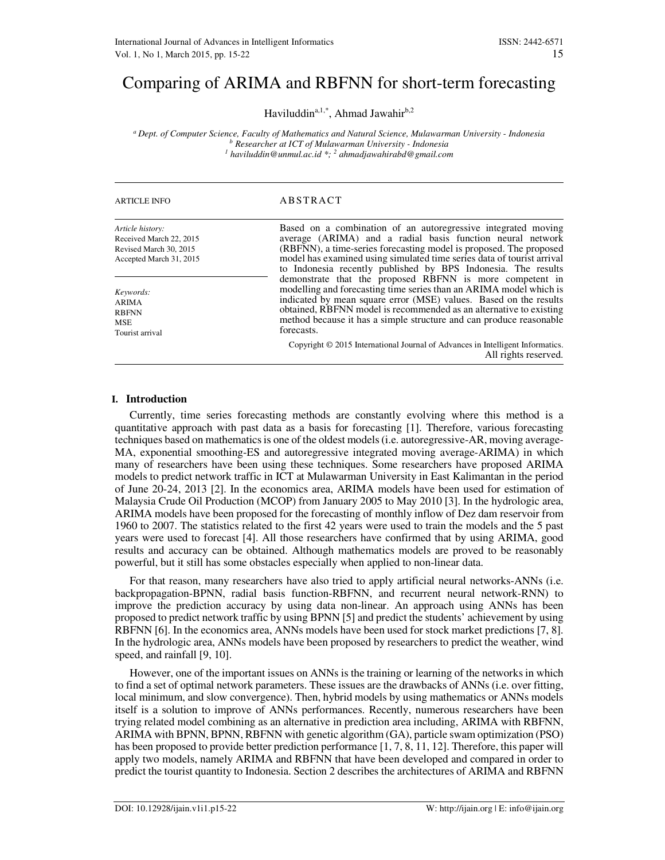# Comparing of ARIMA and RBFNN for short-term forecasting

Haviluddin<sup>a,1,\*</sup>, Ahmad Jawahir<sup>b,2</sup>

*<sup>a</sup>Dept. of Computer Science, Faculty of Mathematics and Natural Science, Mulawarman University - Indonesia b Researcher at ICT of Mulawarman University - Indonesia 1 haviluddin@unmul.ac.id \*; <sup>2</sup> ahmadjawahirabd@gmail.com*

| <b>ARTICLE INFO</b>                                                                              | ABSTRACT                                                                                                                                                                                                                                                                                                                                                       |
|--------------------------------------------------------------------------------------------------|----------------------------------------------------------------------------------------------------------------------------------------------------------------------------------------------------------------------------------------------------------------------------------------------------------------------------------------------------------------|
| Article history:<br>Received March 22, 2015<br>Revised March 30, 2015<br>Accepted March 31, 2015 | Based on a combination of an autoregressive integrated moving<br>average (ARIMA) and a radial basis function neural network<br>(RBFNN), a time-series forecasting model is proposed. The proposed<br>model has examined using simulated time series data of tourist arrival<br>to Indonesia recently published by BPS Indonesia. The results                   |
| Keywords:<br><b>ARIMA</b><br><b>RBFNN</b><br><b>MSE</b><br>Tourist arrival                       | demonstrate that the proposed RBFNN is more competent in<br>modelling and forecasting time series than an ARIMA model which is<br>indicated by mean square error (MSE) values. Based on the results<br>obtained, RBFNN model is recommended as an alternative to existing<br>method because it has a simple structure and can produce reasonable<br>forecasts. |
|                                                                                                  | Copyright © 2015 International Journal of Advances in Intelligent Informatics.<br>All rights reserved.                                                                                                                                                                                                                                                         |

# **I. Introduction**

Currently, time series forecasting methods are constantly evolving where this method is a quantitative approach with past data as a basis for forecasting [1]. Therefore, various forecasting techniques based on mathematics is one of the oldest models (i.e. autoregressive-AR, moving average-MA, exponential smoothing-ES and autoregressive integrated moving average-ARIMA) in which many of researchers have been using these techniques. Some researchers have proposed ARIMA models to predict network traffic in ICT at Mulawarman University in East Kalimantan in the period of June 20-24, 2013 [2]. In the economics area, ARIMA models have been used for estimation of Malaysia Crude Oil Production (MCOP) from January 2005 to May 2010 [3]. In the hydrologic area, ARIMA models have been proposed for the forecasting of monthly inflow of Dez dam reservoir from 1960 to 2007. The statistics related to the first 42 years were used to train the models and the 5 past years were used to forecast [4]. All those researchers have confirmed that by using ARIMA, good results and accuracy can be obtained. Although mathematics models are proved to be reasonably powerful, but it still has some obstacles especially when applied to non-linear data.

For that reason, many researchers have also tried to apply artificial neural networks-ANNs (i.e. backpropagation-BPNN, radial basis function-RBFNN, and recurrent neural network-RNN) to improve the prediction accuracy by using data non-linear. An approach using ANNs has been proposed to predict network traffic by using BPNN [5] and predict the students' achievement by using RBFNN [6]. In the economics area, ANNs models have been used for stock market predictions [7, 8]. In the hydrologic area, ANNs models have been proposed by researchers to predict the weather, wind speed, and rainfall [9, 10].

However, one of the important issues on ANNs is the training or learning of the networks in which to find a set of optimal network parameters. These issues are the drawbacks of ANNs (i.e. over fitting, local minimum, and slow convergence). Then, hybrid models by using mathematics or ANNs models itself is a solution to improve of ANNs performances. Recently, numerous researchers have been trying related model combining as an alternative in prediction area including, ARIMA with RBFNN, ARIMA with BPNN, BPNN, RBFNN with genetic algorithm (GA), particle swam optimization (PSO) has been proposed to provide better prediction performance [1, 7, 8, 11, 12]. Therefore, this paper will apply two models, namely ARIMA and RBFNN that have been developed and compared in order to predict the tourist quantity to Indonesia. Section 2 describes the architectures of ARIMA and RBFNN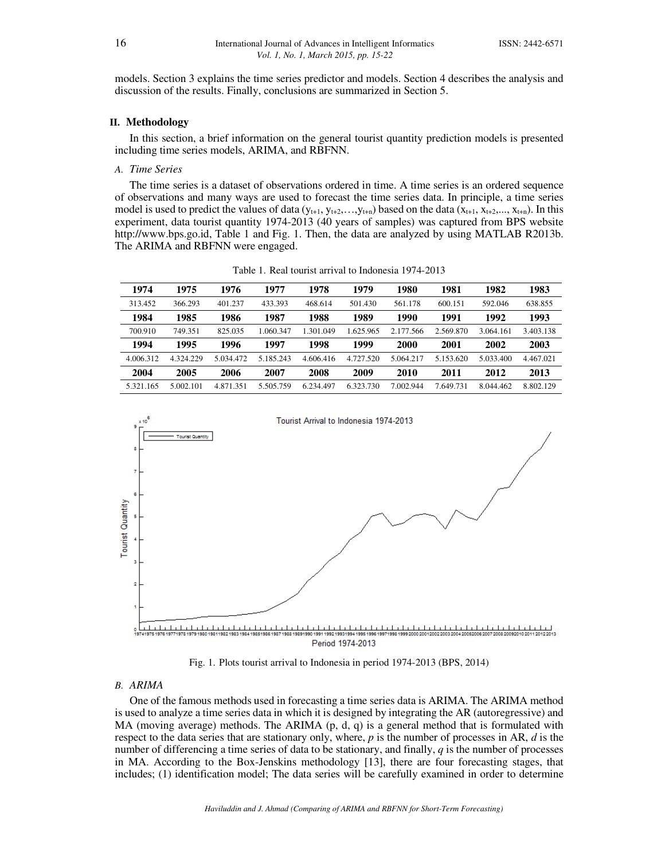models. Section 3 explains the time series predictor and models. Section 4 describes the analysis and discussion of the results. Finally, conclusions are summarized in Section 5.

### **II. Methodology**

In this section, a brief information on the general tourist quantity prediction models is presented including time series models, ARIMA, and RBFNN.

### *A. Time Series*

The time series is a dataset of observations ordered in time. A time series is an ordered sequence of observations and many ways are used to forecast the time series data. In principle, a time series model is used to predict the values of data  $(y_{t+1}, y_{t+2},...,y_{t+n})$  based on the data  $(x_{t+1}, x_{t+2},..., x_{t+n})$ . In this experiment, data tourist quantity 1974-2013 (40 years of samples) was captured from BPS website http://www.bps.go.id, Table 1 and Fig. 1. Then, the data are analyzed by using MATLAB R2013b. The ARIMA and RBFNN were engaged.

| 1974      | 1975      | 1976      | 1977      | 1978      | 1979      | 1980        | 1981      | 1982      | 1983      |
|-----------|-----------|-----------|-----------|-----------|-----------|-------------|-----------|-----------|-----------|
| 313.452   | 366.293   | 401.237   | 433.393   | 468.614   | 501.430   | 561.178     | 600.151   | 592.046   | 638.855   |
| 1984      | 1985      | 1986      | 1987      | 1988      | 1989      | 1990        | 1991      | 1992      | 1993      |
| 700.910   | 749.351   | 825.035   | 1.060.347 | 1.301.049 | 1.625.965 | 2.177.566   | 2.569.870 | 3.064.161 | 3.403.138 |
| 1994      | 1995      | 1996      | 1997      | 1998      | 1999      | <b>2000</b> | 2001      | 2002      | 2003      |
| 4.006.312 | 4.324.229 | 5.034.472 | 5.185.243 | 4.606.416 | 4.727.520 | 5.064.217   | 5.153.620 | 5.033.400 | 4.467.021 |
| 2004      | 2005      | 2006      | 2007      | 2008      | 2009      | 2010        | 2011      | 2012      | 2013      |
| 5.321.165 | 5.002.101 | 4.871.351 | 5.505.759 | 6.234.497 | 6.323.730 | 7.002.944   | 7.649.731 | 8.044.462 | 8.802.129 |

Table 1. Real tourist arrival to Indonesia 1974-2013



Fig. 1. Plots tourist arrival to Indonesia in period 1974-2013 (BPS, 2014)

# *B. ARIMA*

One of the famous methods used in forecasting a time series data is ARIMA. The ARIMA method is used to analyze a time series data in which it is designed by integrating the AR (autoregressive) and MA (moving average) methods. The ARIMA (p, d, q) is a general method that is formulated with respect to the data series that are stationary only, where, *p* is the number of processes in AR, *d* is the number of differencing a time series of data to be stationary, and finally, *q* is the number of processes in MA. According to the Box-Jenskins methodology [13], there are four forecasting stages, that includes; (1) identification model; The data series will be carefully examined in order to determine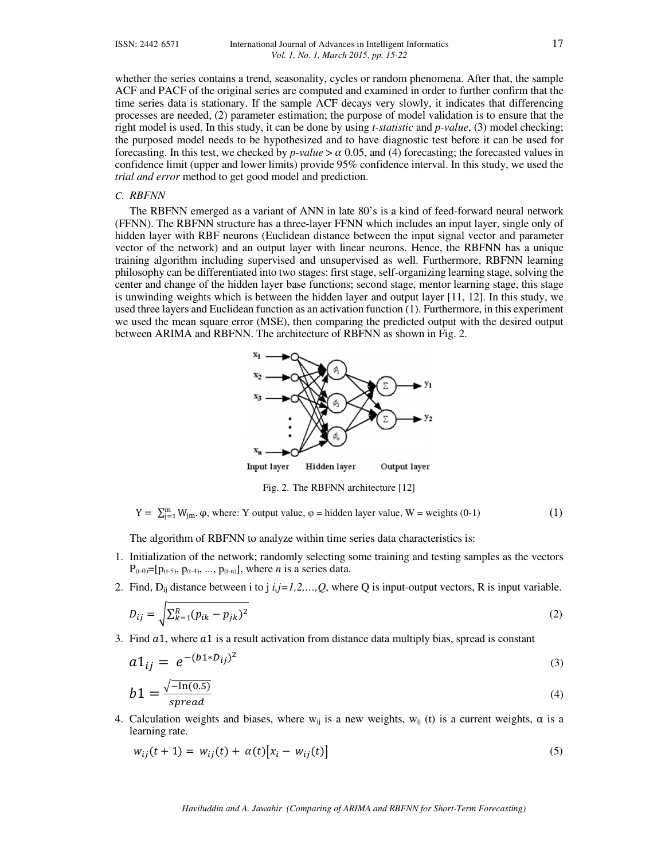whether the series contains a trend, seasonality, cycles or random phenomena. After that, the sample ACF and PACF of the original series are computed and examined in order to further confirm that the time series data is stationary. If the sample ACF decays very slowly, it indicates that differencing processes are needed, (2) parameter estimation; the purpose of model validation is to ensure that the right model is used. In this study, it can be done by using *t-statistic* and *p-value*, (3) model checking; the purposed model needs to be hypothesized and to have diagnostic test before it can be used for forecasting. In this test, we checked by  $p$ -value  $> \alpha$  0.05, and (4) forecasting; the forecasted values in confidence limit (upper and lower limits) provide 95% confidence interval. In this study, we used the *trial and error* method to get good model and prediction.

# *C. RBFNN*

The RBFNN emerged as a variant of ANN in late 80's is a kind of feed-forward neural network (FFNN). The RBFNN structure has a three-layer FFNN which includes an input layer, single only of hidden layer with RBF neurons (Euclidean distance between the input signal vector and parameter vector of the network) and an output layer with linear neurons. Hence, the RBFNN has a unique training algorithm including supervised and unsupervised as well. Furthermore, RBFNN learning philosophy can be differentiated into two stages: first stage, self-organizing learning stage, solving the center and change of the hidden layer base functions; second stage, mentor learning stage, this stage is unwinding weights which is between the hidden layer and output layer [11, 12]. In this study, we used three layers and Euclidean function as an activation function (1). Furthermore, in this experiment we used the mean square error (MSE), then comparing the predicted output with the desired output between ARIMA and RBFNN. The architecture of RBFNN as shown in Fig. 2.



Fig. 2. The RBFNN architecture [12]

 $Y = \sum_{j=1}^{m} W_{jm} \cdot \varphi$ , where: Y output value,  $\varphi$  = hidden layer value, W = weights (0-1) (1)

The algorithm of RBFNN to analyze within time series data characteristics is:

- 1. Initialization of the network; randomly selecting some training and testing samples as the vectors  $P_{(t-0)}=[p_{(t-5)}, p_{(t-4)}, ..., p_{(t-n)}],$  where *n* is a series data.
- 2. Find,  $D_{ij}$  distance between i to j  $i, j=1,2,...,Q$ , where Q is input-output vectors, R is input variable.

$$
D_{ij} = \sqrt{\sum_{k=1}^{R} (p_{ik} - p_{jk})^2}
$$
 (2)

3. Find  $a_1$ , where  $a_1$  is a result activation from distance data multiply bias, spread is constant

$$
a1_{ij} = e^{-(b1*D_{ij})^2}
$$
 (3)

$$
b1 = \frac{\sqrt{-\ln(0.5)}}{spread} \tag{4}
$$

4. Calculation weights and biases, where w<sub>ij</sub> is a new weights, w<sub>ij</sub> (t) is a current weights,  $\alpha$  is a learning rate.

$$
w_{ij}(t+1) = w_{ij}(t) + \alpha(t)[x_i - w_{ij}(t)]
$$
\n(5)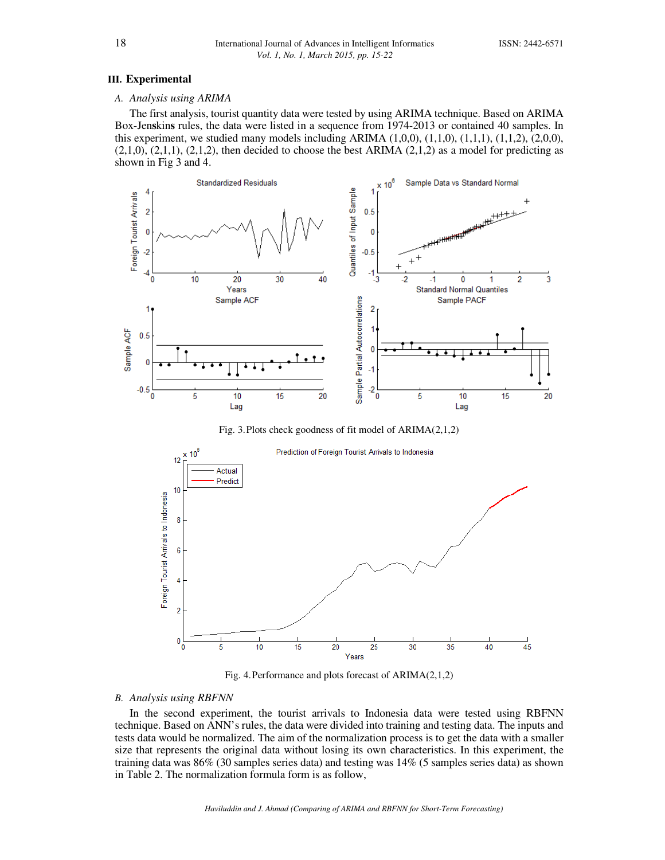#### **III. Experimental**

# *A. Analysis using ARIMA*

The first analysis, tourist quantity data were tested by using ARIMA technique. Based on ARIMA Box-Jen**s**kin**s** rules, the data were listed in a sequence from 1974-2013 or contained 40 samples. In this experiment, we studied many models including ARIMA  $(1,0,0)$ ,  $(1,1,0)$ ,  $(1,1,1)$ ,  $(1,1,2)$ ,  $(2,0,0)$ ,  $(2,1,0)$ ,  $(2,1,1)$ ,  $(2,1,2)$ , then decided to choose the best ARIMA  $(2,1,2)$  as a model for predicting as shown in Fig 3 and 4.



Fig. 4.Performance and plots forecast of ARIMA(2,1,2)

Years

20

25

30

35

40

45

#### *B. Analysis using RBFNN*

 $\frac{1}{\sigma}$ 

10

15

5

In the second experiment, the tourist arrivals to Indonesia data were tested using RBFNN technique. Based on ANN's rules, the data were divided into training and testing data. The inputs and tests data would be normalized. The aim of the normalization process is to get the data with a smaller size that represents the original data without losing its own characteristics. In this experiment, the training data was 86% (30 samples series data) and testing was 14% (5 samples series data) as shown in Table 2. The normalization formula form is as follow,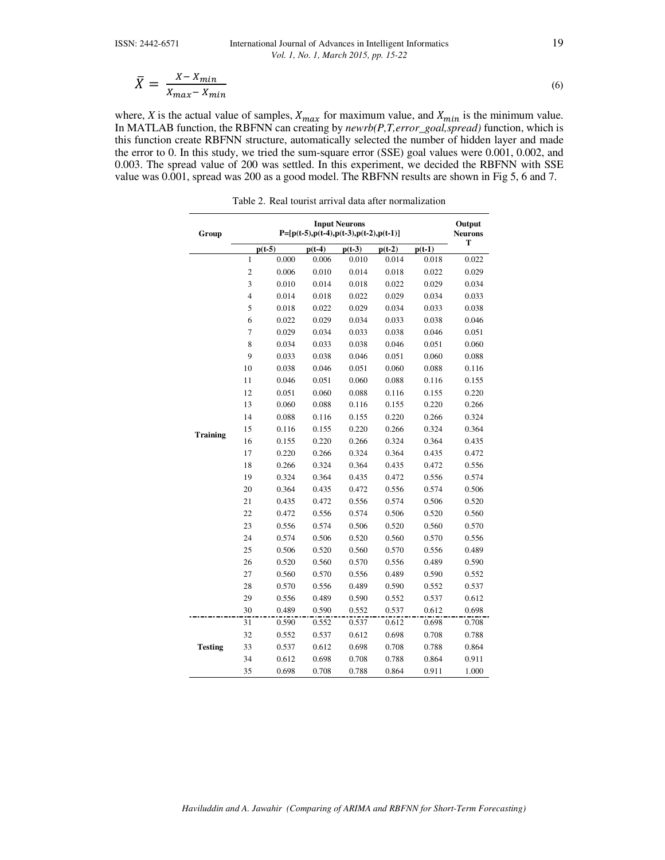## ISSN: 2442-6571 International Journal of Advances in Intelligent Informatics 19 *Vol. 1, No. 1, March 2015, pp. 15-22*

$$
\bar{X} = \frac{X - X_{min}}{X_{max} - X_{min}}
$$
\n(6)

where, *X* is the actual value of samples,  $X_{max}$  for maximum value, and  $X_{min}$  is the minimum value. In MATLAB function, the RBFNN can creating by *newrb(P,T,error\_goal,spread)* function, which is this function create RBFNN structure, automatically selected the number of hidden layer and made the error to 0. In this study, we tried the sum-square error (SSE) goal values were 0.001, 0.002, and 0.003. The spread value of 200 was settled. In this experiment, we decided the RBFNN with SSE value was 0.001, spread was 200 as a good model. The RBFNN results are shown in Fig 5, 6 and 7.

Table 2. Real tourist arrival data after normalization

| Group           | <b>Input Neurons</b><br>$P=[p(t-5),p(t-4),p(t-3),p(t-2),p(t-1)]$ |          |          |          |          | Output<br><b>Neurons</b> |       |
|-----------------|------------------------------------------------------------------|----------|----------|----------|----------|--------------------------|-------|
|                 |                                                                  | $p(t-5)$ | $p(t-4)$ | $p(t-3)$ | $p(t-2)$ | $p(t-1)$                 | T     |
|                 | $\mathbf{1}$                                                     | 0.000    | 0.006    | 0.010    | 0.014    | 0.018                    | 0.022 |
|                 | $\overline{c}$                                                   | 0.006    | 0.010    | 0.014    | 0.018    | 0.022                    | 0.029 |
|                 | $\overline{\mathbf{3}}$                                          | 0.010    | 0.014    | 0.018    | 0.022    | 0.029                    | 0.034 |
|                 | $\overline{\mathbf{4}}$                                          | 0.014    | 0.018    | 0.022    | 0.029    | 0.034                    | 0.033 |
|                 | 5                                                                | 0.018    | 0.022    | 0.029    | 0.034    | 0.033                    | 0.038 |
|                 | 6                                                                | 0.022    | 0.029    | 0.034    | 0.033    | 0.038                    | 0.046 |
|                 | $\overline{7}$                                                   | 0.029    | 0.034    | 0.033    | 0.038    | 0.046                    | 0.051 |
|                 | 8                                                                | 0.034    | 0.033    | 0.038    | 0.046    | 0.051                    | 0.060 |
|                 | $\overline{9}$                                                   | 0.033    | 0.038    | 0.046    | 0.051    | 0.060                    | 0.088 |
|                 | 10                                                               | 0.038    | 0.046    | 0.051    | 0.060    | 0.088                    | 0.116 |
|                 | 11                                                               | 0.046    | 0.051    | 0.060    | 0.088    | 0.116                    | 0.155 |
|                 | 12                                                               | 0.051    | 0.060    | 0.088    | 0.116    | 0.155                    | 0.220 |
|                 | 13                                                               | 0.060    | 0.088    | 0.116    | 0.155    | 0.220                    | 0.266 |
|                 | 14                                                               | 0.088    | 0.116    | 0.155    | 0.220    | 0.266                    | 0.324 |
| <b>Training</b> | 15                                                               | 0.116    | 0.155    | 0.220    | 0.266    | 0.324                    | 0.364 |
|                 | 16                                                               | 0.155    | 0.220    | 0.266    | 0.324    | 0.364                    | 0.435 |
|                 | 17                                                               | 0.220    | 0.266    | 0.324    | 0.364    | 0.435                    | 0.472 |
|                 | 18                                                               | 0.266    | 0.324    | 0.364    | 0.435    | 0.472                    | 0.556 |
|                 | 19                                                               | 0.324    | 0.364    | 0.435    | 0.472    | 0.556                    | 0.574 |
|                 | 20                                                               | 0.364    | 0.435    | 0.472    | 0.556    | 0.574                    | 0.506 |
|                 | 21                                                               | 0.435    | 0.472    | 0.556    | 0.574    | 0.506                    | 0.520 |
|                 | 22                                                               | 0.472    | 0.556    | 0.574    | 0.506    | 0.520                    | 0.560 |
|                 | 23                                                               | 0.556    | 0.574    | 0.506    | 0.520    | 0.560                    | 0.570 |
|                 | 24                                                               | 0.574    | 0.506    | 0.520    | 0.560    | 0.570                    | 0.556 |
|                 | 25                                                               | 0.506    | 0.520    | 0.560    | 0.570    | 0.556                    | 0.489 |
|                 | 26                                                               | 0.520    | 0.560    | 0.570    | 0.556    | 0.489                    | 0.590 |
|                 | 27                                                               | 0.560    | 0.570    | 0.556    | 0.489    | 0.590                    | 0.552 |
|                 | 28                                                               | 0.570    | 0.556    | 0.489    | 0.590    | 0.552                    | 0.537 |
|                 | 29                                                               | 0.556    | 0.489    | 0.590    | 0.552    | 0.537                    | 0.612 |
|                 | 30                                                               | 0.489    | 0.590    | 0.552    | 0.537    | 0.612                    | 0.698 |
|                 | 31                                                               | 0.590    | 0.552    | 0.537    | 0.612    | 0.698                    | 0.708 |
|                 | 32                                                               | 0.552    | 0.537    | 0.612    | 0.698    | 0.708                    | 0.788 |
| <b>Testing</b>  | 33                                                               | 0.537    | 0.612    | 0.698    | 0.708    | 0.788                    | 0.864 |
|                 | 34                                                               | 0.612    | 0.698    | 0.708    | 0.788    | 0.864                    | 0.911 |
|                 | 35                                                               | 0.698    | 0.708    | 0.788    | 0.864    | 0.911                    | 1.000 |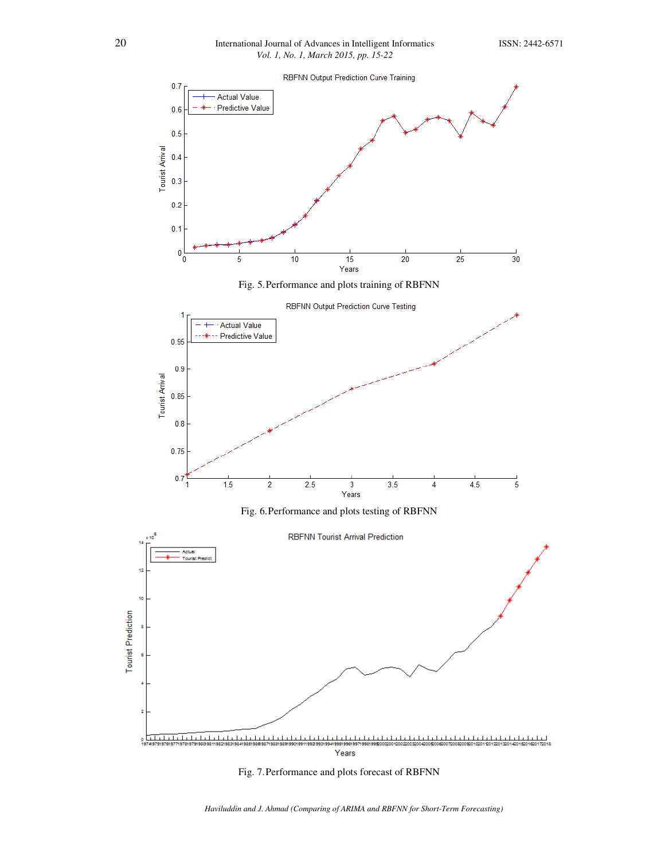

Fig. 7.Performance and plots forecast of RBFNN

*Haviluddin and J. Ahmad (Comparing of ARIMA and RBFNN for Short-Term Forecasting)*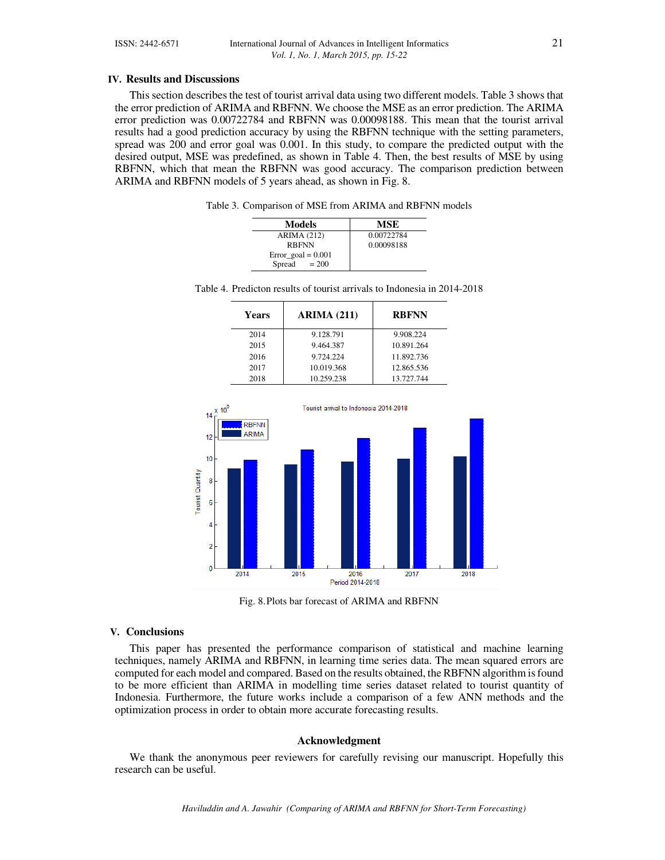#### **IV. Results and Discussions**

This section describes the test of tourist arrival data using two different models. Table 3 shows that the error prediction of ARIMA and RBFNN. We choose the MSE as an error prediction. The ARIMA error prediction was 0.00722784 and RBFNN was 0.00098188. This mean that the tourist arrival results had a good prediction accuracy by using the RBFNN technique with the setting parameters, spread was 200 and error goal was 0.001. In this study, to compare the predicted output with the desired output, MSE was predefined, as shown in Table 4. Then, the best results of MSE by using RBFNN, which that mean the RBFNN was good accuracy. The comparison prediction between ARIMA and RBFNN models of 5 years ahead, as shown in Fig. 8.

Table 3. Comparison of MSE from ARIMA and RBFNN models

| Models                 | MSE        |
|------------------------|------------|
| <b>ARIMA</b> (212)     | 0.00722784 |
| <b>RBFNN</b>           | 0.00098188 |
| $Error_{goal} = 0.001$ |            |
| $= 200$<br>Spread      |            |

|  |  |  |  |  |  |  |  | Table 4. Predicton results of tourist arrivals to Indonesia in 2014-2018 |
|--|--|--|--|--|--|--|--|--------------------------------------------------------------------------|
|--|--|--|--|--|--|--|--|--------------------------------------------------------------------------|

| Years | <b>ARIMA (211)</b> | <b>RBFNN</b> |
|-------|--------------------|--------------|
| 2014  | 9.128.791          | 9.908.224    |
| 2015  | 9.464.387          | 10.891.264   |
| 2016  | 9.724.224          | 11.892.736   |
| 2017  | 10.019.368         | 12.865.536   |
| 2018  | 10.259.238         | 13.727.744   |



Fig. 8.Plots bar forecast of ARIMA and RBFNN

### **V. Conclusions**

This paper has presented the performance comparison of statistical and machine learning techniques, namely ARIMA and RBFNN, in learning time series data. The mean squared errors are computed for each model and compared. Based on the results obtained, the RBFNN algorithm is found to be more efficient than ARIMA in modelling time series dataset related to tourist quantity of Indonesia. Furthermore, the future works include a comparison of a few ANN methods and the optimization process in order to obtain more accurate forecasting results.

# **Acknowledgment**

We thank the anonymous peer reviewers for carefully revising our manuscript. Hopefully this research can be useful.